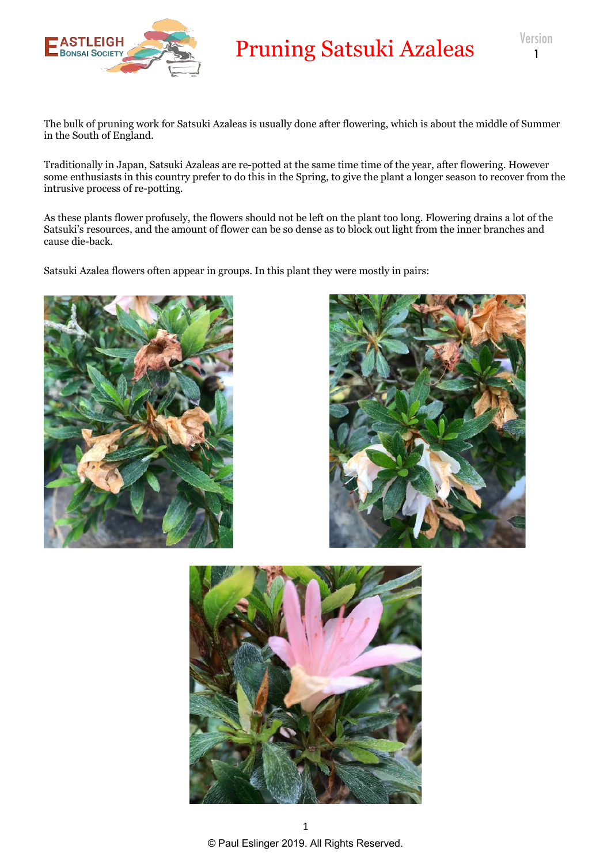

## Pruning Satsuki Azaleas

The bulk of pruning work for Satsuki Azaleas is usually done after flowering, which is about the middle of Summer in the South of England.

Traditionally in Japan, Satsuki Azaleas are re-potted at the same time time of the year, after flowering. However some enthusiasts in this country prefer to do this in the Spring, to give the plant a longer season to recover from the intrusive process of re-potting.

As these plants flower profusely, the flowers should not be left on the plant too long. Flowering drains a lot of the Satsuki's resources, and the amount of flower can be so dense as to block out light from the inner branches and cause die-back.

Satsuki Azalea flowers often appear in groups. In this plant they were mostly in pairs:





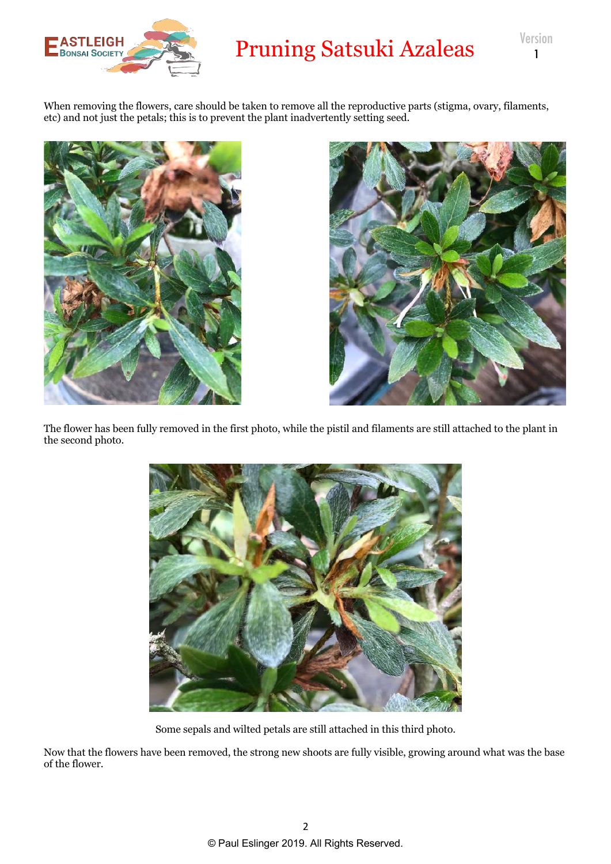

## Pruning Satsuki Azaleas

When removing the flowers, care should be taken to remove all the reproductive parts (stigma, ovary, filaments, etc) and not just the petals; this is to prevent the plant inadvertently setting seed.





Version 1

The flower has been fully removed in the first photo, while the pistil and filaments are still attached to the plant in the second photo.



Some sepals and wilted petals are still attached in this third photo.

Now that the flowers have been removed, the strong new shoots are fully visible, growing around what was the base of the flower.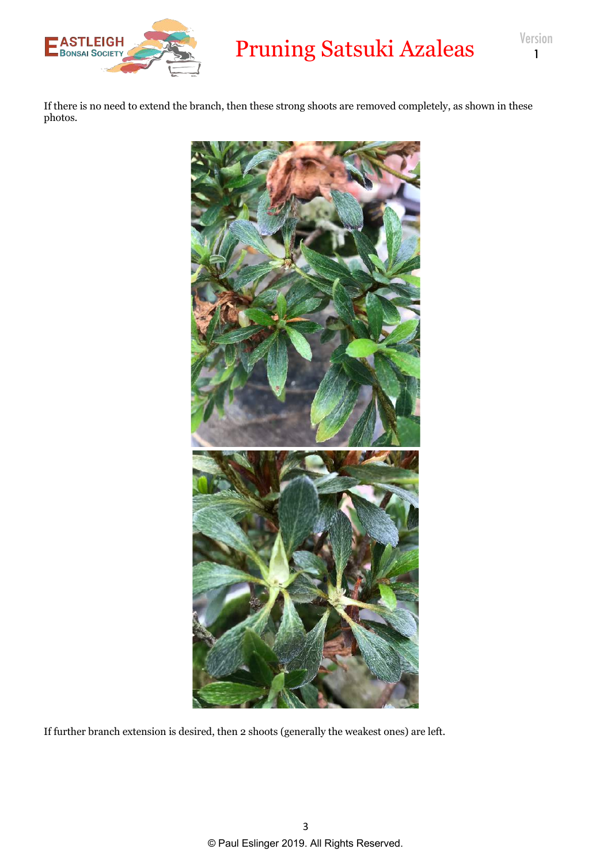

If there is no need to extend the branch, then these strong shoots are removed completely, as shown in these photos.



If further branch extension is desired, then 2 shoots (generally the weakest ones) are left.